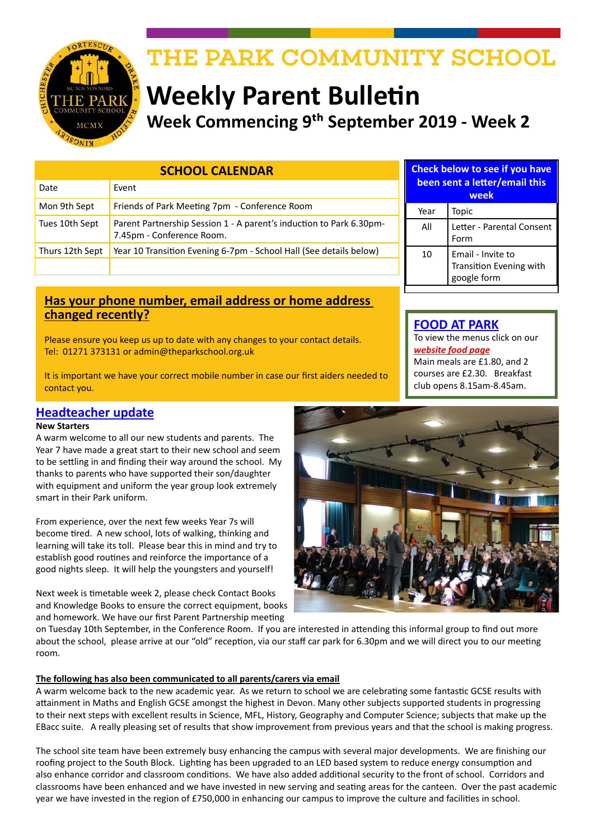

# THE PARK COMMUNITY SCHOOL

# **Weekly Parent Bulletin Week Commencing 9th September 2019 - Week 2**

| <b>SCHOOL CALENDAR</b> |                                                                                                  |
|------------------------|--------------------------------------------------------------------------------------------------|
| Date                   | Event                                                                                            |
| Mon 9th Sept           | Friends of Park Meeting 7pm - Conference Room                                                    |
| Tues 10th Sept         | Parent Partnership Session 1 - A parent's induction to Park 6.30pm-<br>7.45pm - Conference Room. |
| Thurs 12th Sept        | Year 10 Transition Evening 6-7pm - School Hall (See details below)                               |
|                        |                                                                                                  |

### **Has your phone number, email address or home address changed recently?**

Please ensure you keep us up to date with any changes to your contact details. Tel: 01271 373131 or admin@theparkschool.org.uk

It is important we have your correct mobile number in case our first aiders needed to contact you.

# **Headteacher update**

### **New Starters**

A warm welcome to all our new students and parents. The Year 7 have made a great start to their new school and seem to be settling in and finding their way around the school. My thanks to parents who have supported their son/daughter with equipment and uniform the year group look extremely smart in their Park uniform.

From experience, over the next few weeks Year 7s will become tired. A new school, lots of walking, thinking and learning will take its toll. Please bear this in mind and try to establish good routines and reinforce the importance of a good nights sleep. It will help the youngsters and yourself!

Next week is timetable week 2, please check Contact Books and Knowledge Books to ensure the correct equipment, books and homework. We have our first Parent Partnership meeting

**Check below to see if you have been sent a letter/email this week** Year | Topic All Letter - Parental Consent Form 10 | Email - Invite to Transition Evening with google form

# **FOOD AT PARK**

To view the menus click on our *[website food page](http://www.theparkschool.org.uk/food-park)* Main meals are £1.80, and 2 courses are £2.30. Breakfast club opens 8.15am-8.45am.



on Tuesday 10th September, in the Conference Room. If you are interested in attending this informal group to find out more about the school, please arrive at our "old" reception, via our staff car park for 6.30pm and we will direct you to our meeting room.

### **The following has also been communicated to all parents/carers via email**

A warm welcome back to the new academic year. As we return to school we are celebrating some fantastic GCSE results with attainment in Maths and English GCSE amongst the highest in Devon. Many other subjects supported students in progressing to their next steps with excellent results in Science, MFL, History, Geography and Computer Science; subjects that make up the EBacc suite. A really pleasing set of results that show improvement from previous years and that the school is making progress.

The school site team have been extremely busy enhancing the campus with several major developments. We are finishing our roofing project to the South Block. Lighting has been upgraded to an LED based system to reduce energy consumption and also enhance corridor and classroom conditions. We have also added additional security to the front of school. Corridors and classrooms have been enhanced and we have invested in new serving and seating areas for the canteen. Over the past academic year we have invested in the region of £750,000 in enhancing our campus to improve the culture and facilities in school.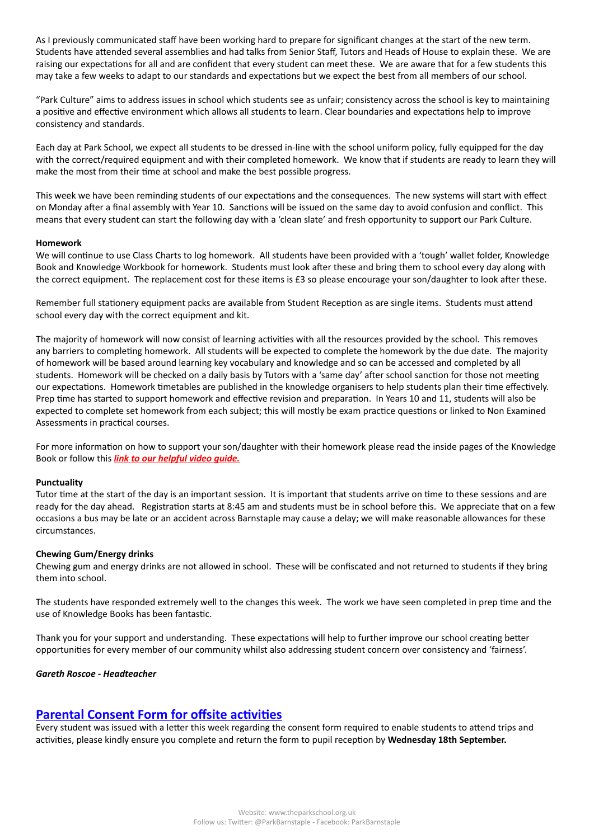As I previously communicated staff have been working hard to prepare for significant changes at the start of the new term. Students have attended several assemblies and had talks from Senior Staff, Tutors and Heads of House to explain these. We are raising our expectations for all and are confident that every student can meet these. We are aware that for a few students this may take a few weeks to adapt to our standards and expectations but we expect the best from all members of our school.

"Park Culture" aims to address issues in school which students see as unfair; consistency across the school is key to maintaining a positive and effective environment which allows all students to learn. Clear boundaries and expectations help to improve consistency and standards.

Each day at Park School, we expect all students to be dressed in-line with the school uniform policy, fully equipped for the day with the correct/required equipment and with their completed homework. We know that if students are ready to learn they will make the most from their time at school and make the best possible progress.

This week we have been reminding students of our expectations and the consequences. The new systems will start with effect on Monday after a final assembly with Year 10. Sanctions will be issued on the same day to avoid confusion and conflict. This means that every student can start the following day with a 'clean slate' and fresh opportunity to support our Park Culture.

#### **Homework**

We will continue to use Class Charts to log homework. All students have been provided with a 'tough' wallet folder, Knowledge Book and Knowledge Workbook for homework. Students must look after these and bring them to school every day along with the correct equipment. The replacement cost for these items is £3 so please encourage your son/daughter to look after these.

Remember full stationery equipment packs are available from Student Reception as are single items. Students must attend school every day with the correct equipment and kit.

The majority of homework will now consist of learning activities with all the resources provided by the school. This removes any barriers to completing homework. All students will be expected to complete the homework by the due date. The majority of homework will be based around learning key vocabulary and knowledge and so can be accessed and completed by all students. Homework will be checked on a daily basis by Tutors with a 'same day' after school sanction for those not meeting our expectations. Homework timetables are published in the knowledge organisers to help students plan their time effectively. Prep time has started to support homework and effective revision and preparation. In Years 10 and 11, students will also be expected to complete set homework from each subject; this will mostly be exam practice questions or linked to Non Examined Assessments in practical courses.

For more information on how to support your son/daughter with their homework please read the inside pages of the Knowledge Book or follow this *[link to our helpful video guide.](http://www.theparkschool.org.uk/knowledge-homework)*

#### **Punctuality**

Tutor time at the start of the day is an important session. It is important that students arrive on time to these sessions and are ready for the day ahead. Registration starts at 8:45 am and students must be in school before this. We appreciate that on a few occasions a bus may be late or an accident across Barnstaple may cause a delay; we will make reasonable allowances for these circumstances.

#### **Chewing Gum/Energy drinks**

Chewing gum and energy drinks are not allowed in school. These will be confiscated and not returned to students if they bring them into school.

The students have responded extremely well to the changes this week. The work we have seen completed in prep time and the use of Knowledge Books has been fantastic.

Thank you for your support and understanding. These expectations will help to further improve our school creating better opportunities for every member of our community whilst also addressing student concern over consistency and 'fairness'.

#### *Gareth Roscoe - Headteacher*

### **Parental Consent Form for offsite activities**

Every student was issued with a letter this week regarding the consent form required to enable students to attend trips and activities, please kindly ensure you complete and return the form to pupil reception by **Wednesday 18th September.**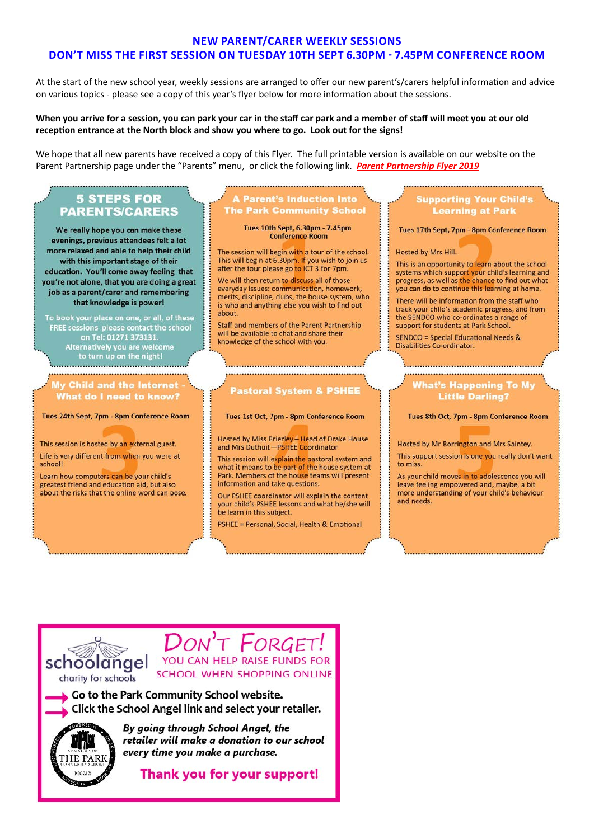### **NEW PARENT/CARER WEEKLY SESSIONS** DON'T MISS THE FIRST SESSION ON TUESDAY 10TH SEPT 6.30PM - 7.45PM CONFERENCE ROOM

At the start of the new school year, weekly sessions are arranged to offer our new parent's/carers helpful information and advice on various topics - please see a copy of this year's flyer below for more information about the sessions.

### When you arrive for a session, you can park your car in the staff car park and a member of staff will meet you at our old reception entrance at the North block and show you where to go. Look out for the signs!

We hope that all new parents have received a copy of this Flyer. The full printable version is available on our website on the Parent Partnership page under the "Parents" menu, or click the following link. Parent Partnership Flyer 2019

### 5 STEPS FOR **PARENTS/CARERS**

We really hope you can make these evenings, previous attendees felt a lot more relaxed and able to help their child with this important stage of their education. You'll come away feeling that you're not alone, that you are doing a great job as a parent/carer and remembering that knowledge is power!

To book your place on one, or all, of these FREE sessions please contact the school on Tel: 01271 373131. Alternatively you are welc<mark>c</mark><br>!to turn up on the night 

**Child and the Interne** What do I need to know?

Tues 24th Sept, 7pm - 8pm Conference Room

This session is hosted by an external guest. Life is very different from when you were at school!

Learn how computers can be your child's greatest friend and education aid, but also about the risks that the online word can pose.

### **Parent's Induction Into The Park Community School**

Tues 10th Sept, 6.30pm - 7.45pm **Conference Room** 

The session will begin with a tour of the school. This will begin at 6.30pm. If you wish to join us after the tour please go to ICT 3 for 7pm.

We will then return to discuss all of those everyday issues: communication, homework, merits, discipline, clubs, the house system, who is who and anything else you wish to find out about.

Staff and members of the Parent Partnership will be available to chat and share their knowledge of the school with you.

# **Pastoral System & PSHEE**

Tues 1st Oct, 7pm - 8pm Conference Room

Hosted by Miss Brierley - Head of Drake House and Mrs Duthuit-PSHEE Coordinator

This session will explain the pastoral system and what it means to be part of the house system at Park. Members of the house teams will present information and take questions.

Our PSHEE coordinator will explain the content your child's PSHEE lessons and what he/she will be learn in this subject.

PSHEE = Personal, Social, Health & Emotional

### upporting Your Child' **Learning at Park**

Tues 17th Sept, 7pm - 8pm Conference Room

#### Hosted by Mrs Hill.

This is an opportunity to learn about the school systems which support your child's learning and progress, as well as the chance to find out what you can do to continue this learning at home.

There will be information from the staff who track your child's academic progress, and from the SENDCO who co-ordinates a range of support for students at Park School.

SENDCO = Special Educational Needs & Disabilities Co-ordinator.

#### **That's Happening To My Little Darling?**

Tues 8th Oct, 7pm - 8pm Conference Room

Hosted by Mr Borrington and Mrs Saintey. This support session is one you really don't want to miss

As your child moves in to adolescence you will leave feeling empowered and, maybe, a bit more understanding of your child's behaviour and needs.

schoolangel charity for schools

T **FORGET** YOU CAN HELP RAISE FUNDS FOR SCHOOL WHEN SHOPPING ONLINE

Go to the Park Community School website. Click the School Angel link and select your retailer.



By going through School Angel, the retailer will make a donation to our school every time you make a purchase.

Thank you for your support!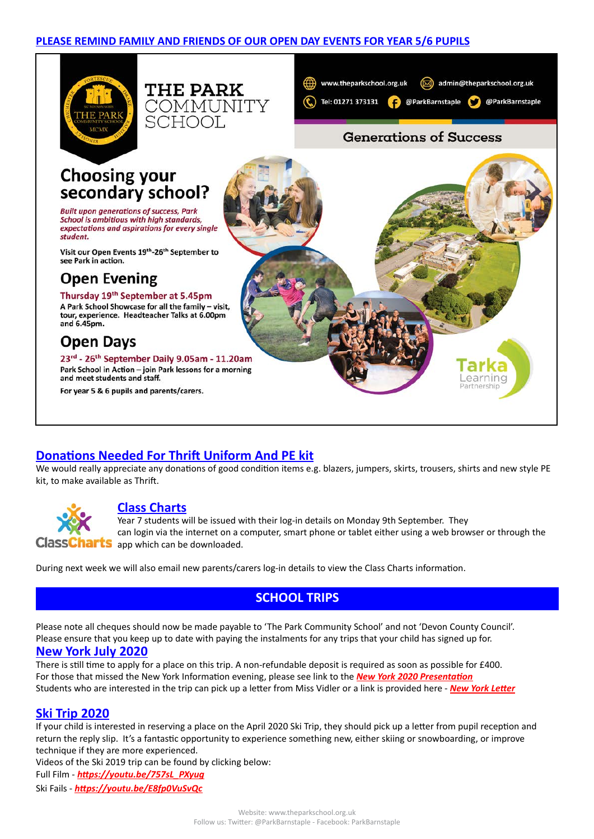





earning

# **Generations of Success**

# **Choosing your** secondary school?

**Built upon generations of success, Park** School is ambitious with high standards, expectations and aspirations for every single student

Visit our Open Events 19th-26th September to see Park in action.

# **Open Evening**

Thursday 19th September at 5.45pm A Park School Showcase for all the family - visit, tour, experience. Headteacher Talks at 6.00pm and 6.45pm.

# **Open Days**

23rd - 26th September Daily 9.05am - 11.20am Park School in Action - join Park lessons for a morning and meet students and staff.

For year 5 & 6 pupils and parents/carers.

# **Donations Needed For Thrift Uniform And PE kit**

We would really appreciate any donations of good condition items e.g. blazers, jumpers, skirts, trousers, shirts and new style PE kit, to make available as Thrift.



### **Class Charts**

Year 7 students will be issued with their log-in details on Monday 9th September. They can login via the internet on a computer, smart phone or tablet either using a web browser or through the ClassCharts app which can be downloaded.

During next week we will also email new parents/carers log-in details to view the Class Charts information.

# **SCHOOL TRIPS**

Please note all cheques should now be made payable to 'The Park Community School' and not 'Devon County Council'. Please ensure that you keep up to date with paying the instalments for any trips that your child has signed up for.

### **New York July 2020**

There is still time to apply for a place on this trip. A non-refundable deposit is required as soon as possible for £400. For those that missed the New York Information evening, please see link to the *[New York 2020 Presentation](http://www.theparkschool.org.uk/sites/default/files/NewYorkMeetingPowerPoint-July2020.pdf)* Students who are interested in the trip can pick up a letter from Miss Vidler or a link is provided here - *[New York Letter](http://www.theparkschool.org.uk/sites/default/files/Payment%20Plan%20and%20Itinerary%20letter%202020.pdf)*

### **Ski Trip 2020**

If your child is interested in reserving a place on the April 2020 Ski Trip, they should pick up a letter from pupil reception and return the reply slip. It's a fantastic opportunity to experience something new, either skiing or snowboarding, or improve technique if they are more experienced.

Videos of the Ski 2019 trip can be found by clicking below:

Full Film - *[https://youtu.be/757sL\\_PXyug](https://youtu.be/757sL_PXyug)*

Ski Fails - *<https://youtu.be/E8fp0VuSvQc>*